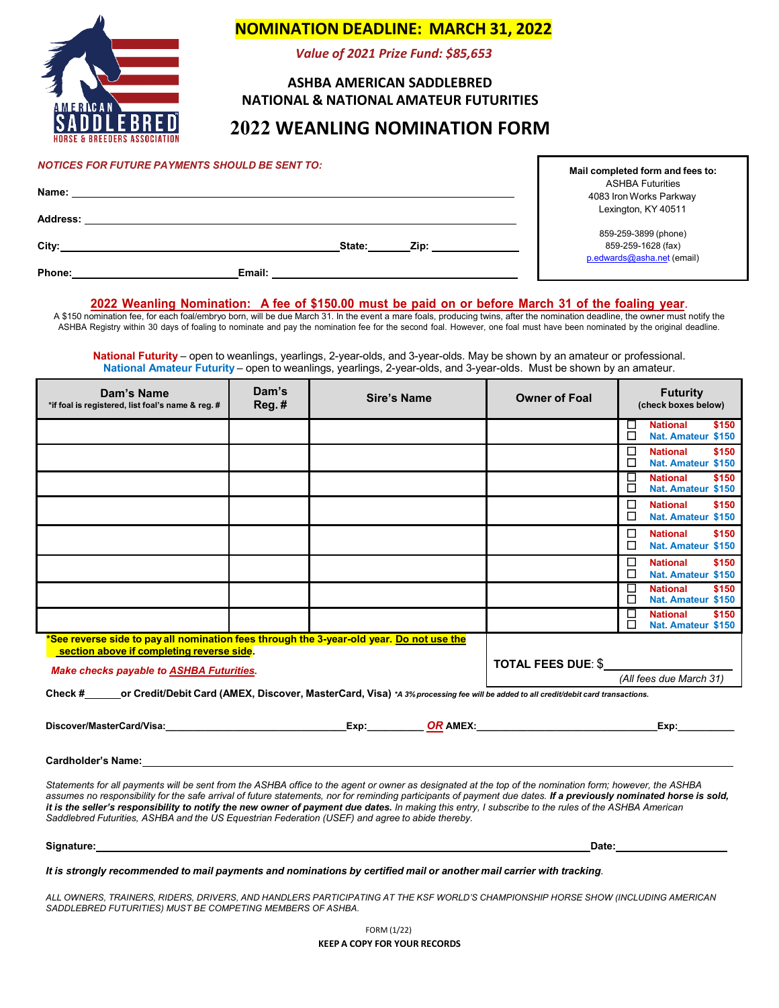

## **NOMINATION DEADLINE: MARCH 31, 2022**

*Value of 2021 Prize Fund: \$85,653*

### **ASHBA AMERICAN SADDLEBRED NATIONAL & NATIONAL AMATEUR FUTURITIES**

# **2022 WEANLING NOMINATION FORM**

| <b>NOTICES FOR FUTURE PAYMENTS SHOULD BE SENT TO:</b> |        |        | Mail completed form and fees to: |                                                                          |  |
|-------------------------------------------------------|--------|--------|----------------------------------|--------------------------------------------------------------------------|--|
| Name:                                                 |        |        |                                  | <b>ASHBA Futurities</b><br>4083 Iron Works Parkway                       |  |
| Address:                                              |        |        |                                  | Lexington, KY 40511                                                      |  |
| City:                                                 |        | State: | Zip:                             | 859-259-3899 (phone)<br>859-259-1628 (fax)<br>p.edwards@asha.net (email) |  |
| Phone:                                                | Email: |        |                                  |                                                                          |  |

#### **2022 Weanling Nomination: A fee of \$150.00 must be paid on or before March 31 of the foaling year**.

A \$150 nomination fee, for each foal/embryo born, will be due March 31. In the event a mare foals, producing twins, after the nomination deadline, the owner must notify the ASHBA Registry within 30 days of foaling to nominate and pay the nomination fee for the second foal. However, one foal must have been nominated by the original deadline.

**National Futurity** – open to weanlings, yearlings, 2-year-olds, and 3-year-olds. May be shown by an amateur or professional. **National Amateur Futurity** – open to weanlings, yearlings, 2-year-olds, and 3-year-olds. Must be shown by an amateur.

| Dam's Name<br>*if foal is registered, list foal's name & reg. #                                                                                                                                                                                                                                                                                                                                                                                                                        | Dam's<br>$Reg.$ # | Sire's Name |  | <b>Owner of Foal</b> |        | <b>Futurity</b><br>(check boxes below)                                                                                                                                                                                         |       |
|----------------------------------------------------------------------------------------------------------------------------------------------------------------------------------------------------------------------------------------------------------------------------------------------------------------------------------------------------------------------------------------------------------------------------------------------------------------------------------------|-------------------|-------------|--|----------------------|--------|--------------------------------------------------------------------------------------------------------------------------------------------------------------------------------------------------------------------------------|-------|
|                                                                                                                                                                                                                                                                                                                                                                                                                                                                                        |                   |             |  |                      | ப<br>□ | <b>National</b><br>Nat. Amateur \$150                                                                                                                                                                                          | \$150 |
|                                                                                                                                                                                                                                                                                                                                                                                                                                                                                        |                   |             |  |                      | □<br>□ | <b>National</b><br>Nat. Amateur \$150                                                                                                                                                                                          | \$150 |
|                                                                                                                                                                                                                                                                                                                                                                                                                                                                                        |                   |             |  |                      | □<br>□ | <b>National</b><br>Nat. Amateur \$150                                                                                                                                                                                          | \$150 |
|                                                                                                                                                                                                                                                                                                                                                                                                                                                                                        |                   |             |  |                      | □<br>□ | <b>National</b><br>Nat. Amateur \$150                                                                                                                                                                                          | \$150 |
|                                                                                                                                                                                                                                                                                                                                                                                                                                                                                        |                   |             |  |                      | □<br>П | <b>National</b><br>Nat. Amateur \$150                                                                                                                                                                                          | \$150 |
|                                                                                                                                                                                                                                                                                                                                                                                                                                                                                        |                   |             |  |                      | □<br>□ | <b>National</b><br>Nat. Amateur \$150                                                                                                                                                                                          | \$150 |
|                                                                                                                                                                                                                                                                                                                                                                                                                                                                                        |                   |             |  |                      | □<br>□ | <b>National</b><br>Nat. Amateur \$150                                                                                                                                                                                          | \$150 |
|                                                                                                                                                                                                                                                                                                                                                                                                                                                                                        |                   |             |  |                      | □<br>п | <b>National</b><br>Nat. Amateur \$150                                                                                                                                                                                          | \$150 |
| <b>See reverse side to pay all nomination fees through the 3-year-old year. Do not use the</b><br>section above if completing reverse side.<br><b>Make checks payable to ASHBA Futurities.</b>                                                                                                                                                                                                                                                                                         |                   |             |  | TOTAL FEES DUE: \$   |        | (All fees due March 31)                                                                                                                                                                                                        |       |
| Check # or Credit/Debit Card (AMEX, Discover, MasterCard, Visa) *A 3% processing fee will be added to all credit/debit card transactions.                                                                                                                                                                                                                                                                                                                                              |                   |             |  |                      |        |                                                                                                                                                                                                                                |       |
|                                                                                                                                                                                                                                                                                                                                                                                                                                                                                        |                   |             |  |                      |        | Exp: The contract of the contract of the contract of the contract of the contract of the contract of the contract of the contract of the contract of the contract of the contract of the contract of the contract of the contr |       |
| Cardholder's Name: Name: Name and Second Card Construction of the Card Card Construction of the Card Construction of the Card Construction of the Card Construction of the Card Construction of the Card Construction of the C                                                                                                                                                                                                                                                         |                   |             |  |                      |        |                                                                                                                                                                                                                                |       |
| Statements for all payments will be sent from the ASHBA office to the agent or owner as designated at the top of the nomination form; however, the ASHBA<br>assumes no responsibility for the safe arrival of future statements, nor for reminding participants of payment due dates. If a previously nominated horse is sold,<br>it is the seller's responsibility to notify the new owner of payment due dates. In making this entry, I subscribe to the rules of the ASHBA American |                   |             |  |                      |        |                                                                                                                                                                                                                                |       |

It is strongly recommended to mail payments and nominations by certified mail or another mail carrier with tracking.

**Signature: Date:**

*Saddlebred Futurities, ASHBA and the US Equestrian Federation (USEF) and agree to abide thereby.*

ALL OWNERS, TRAINERS, RIDERS, DRIVERS, AND HANDLERS PARTICIPATING AT THE KSF WORLD'S CHAMPIONSHIP HORSE SHOW (INCLUDING AMERICAN *SADDLEBRED FUTURITIES) MUST BE COMPETING MEMBERS OF ASHBA.*

> FORM (1/22) **KEEP A COPY FOR YOUR RECORDS**